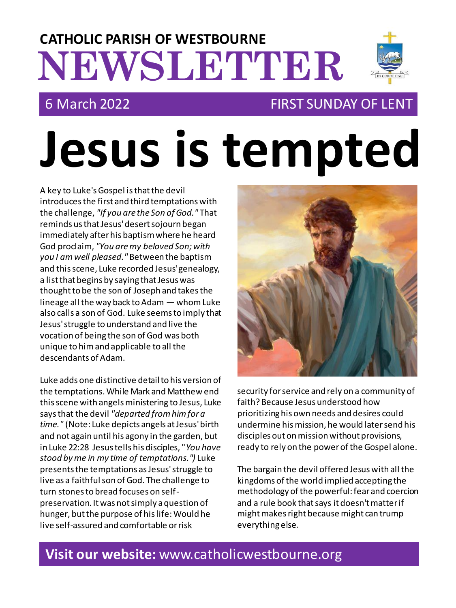## **NEWSLETTER CATHOLIC PARISH OF WESTBOURNE**

### 6 March 2022 FIRST SUNDAY OF LENT

# **Jesus is tempted**

A key to Luke's Gospel is that the devil introduces the first and third temptations with the challenge, *"If you are the Son of God."* That reminds us that Jesus' desert sojourn began immediately after his baptism where he heard God proclaim, *"You are my beloved Son; with you I am well pleased."* Between the baptism and this scene, Luke recorded Jesus' genealogy, a list that begins by saying that Jesus was thought to be the son of Joseph and takes the lineage all the way back to Adam — whom Luke also calls a son of God. Luke seems to imply that Jesus' struggle to understand and live the vocation of being the son of God was both unique to him and applicable to all the descendants of Adam.

Luke adds one distinctive detail to his version of the temptations. While Mark and Matthew end this scene with angels ministering to Jesus, Luke says that the devil *"departed from him for a time."* (Note: Luke depicts angels at Jesus' birth and not again until his agony in the garden, but in Luke 22:28 Jesus tells his disciples, "*You have stood by me in my time of temptations.")* Luke presents the temptations as Jesus' struggle to live as a faithful son of God. The challenge to turn stones to bread focuses on selfpreservation. It was not simply a question of hunger, but the purpose of his life: Would he live self-assured and comfortable or risk



security for service and rely on a community of faith? Because Jesus understood how prioritizing his own needs and desires could undermine his mission, he would later send his disciples out on mission without provisions, ready to rely on the power of the Gospel alone.

The bargain the devil offered Jesus with all the kingdoms of the world implied accepting the methodology of the powerful: fear and coercion and a rule book that says it doesn't matter if might makes right because might can trump everything else.

#### **Visit our website:** www.catholicwestbourne.org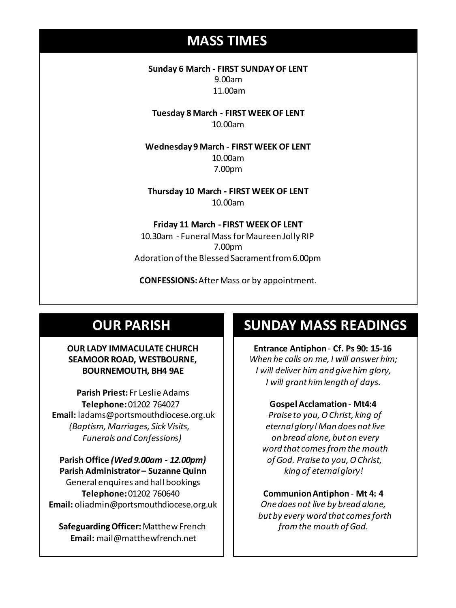#### **MASS TIMES**

**Sunday 6 March - FIRST SUNDAY OF LENT** 9.00am 11.00am

**Tuesday 8 March - FIRST WEEK OF LENT** 10.00am

**Sunday 11th 9am:** *The Parish* **Wednesday 14th** *Repose of the souls of Bernard Charles and Elsie May Pratt* **Wednesday 9 March - FIRST WEEK OF LENT** 10.00am 7.00pm

**Saturday 16th** *Rosemarie Schofield RIP* **Thursday 10 March - FIRST WEEK OF LENT Sunday 18th 11am** *The Parish*  10.00am

> **Friday 11 March - FIRST WEEK OF LENT** 10.30am - Funeral Mass for Maureen Jolly RIP 7.00pm Adoration of the Blessed Sacrament from 6.00pm

**CONFESSIONS:**After Mass or by appointment.

#### **OUR PARISH**

#### **OUR LADY IMMACULATE CHURCH SEAMOOR ROAD, WESTBOURNE, BOURNEMOUTH, BH4 9AE**

**Parish Priest:** Fr Leslie Adams **Telephone:**01202 764027 **Email:** ladams@portsmouthdiocese.org.uk *(Baptism, Marriages, Sick Visits, Funerals and Confessions)*

**Parish Office** *(Wed 9.00am - 12.00pm)* **Parish Administrator – Suzanne Quinn** General enquires andhall bookings **Telephone:**01202 760640 **Email:** oliadmin@portsmouthdiocese.org.uk

**Safeguarding Officer:**Matthew French **Email:** mail@matthewfrench.net

#### **SUNDAY MASS READINGS**

**Entrance Antiphon** - **Cf. Ps 90: 15-16** *When he calls on me, I will answer him; I will deliver him and give him glory, I will grant him length of days.* 

#### **Gospel Acclamation**- **Mt4:4**

*Praise to you, O Christ, king of eternalglory! Man does not live on bread alone, but on every word that comesfrom the mouth of God. Praise to you, O Christ, king of eternal glory!* 

**Communion Antiphon** - **Mt 4: 4** *One does not live by bread alone, but by every word that comes forth from the mouth of God.*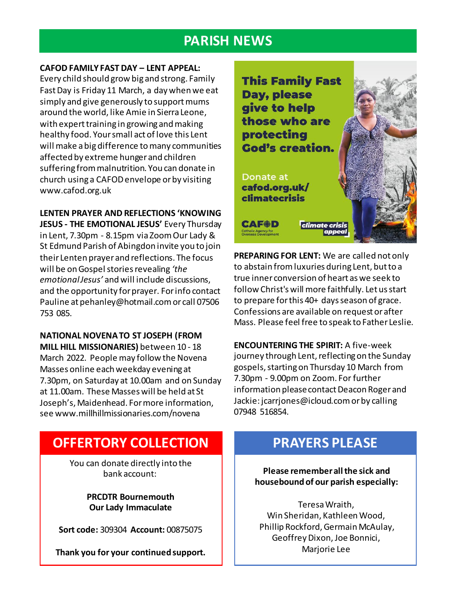#### **PARISH NEWS**

#### **CAFOD FAMILY FAST DAY – LENT APPEAL:**

Every child should grow big and strong. Family Fast Day is Friday 11 March, a day when we eat simply and give generously to support mums around the world, like Amie in Sierra Leone, with expert training in growing and making healthy food. Your small act of love this Lent will make a big difference to many communities affected by extreme hunger and children suffering from malnutrition. You can donate in church using a CAFOD envelope or by visiting www.cafod.org.uk

#### **LENTEN PRAYER AND REFLECTIONS 'KNOWING**

**JESUS - THE EMOTIONAL JESUS'** Every Thursday in Lent, 7.30pm - 8.15pm via Zoom Our Lady & St Edmund Parish of Abingdon invite you to join their Lenten prayer and reflections. The focus will be on Gospel stories revealing *'the emotional Jesus'* and will include discussions, and the opportunity for prayer. For info contact Pauline at pehanley@hotmail.com or call 07506 753 085.

#### **NATIONAL NOVENA TO ST JOSEPH (FROM MILL HILL MISSIONARIES)** between 10 - 18 March 2022. People may follow the Novena Masses online each weekday evening at 7.30pm, on Saturday at 10.00am and on Sunday at 11.00am. These Masses will be held at St Joseph's, Maidenhead. For more information, see www.millhillmissionaries.com/novena

#### **OFFERTORY COLLECTION**

You can donate directly into the bank account:

> **PRCDTR Bournemouth Our Lady Immaculate**

**Sort code:** 309304 **Account:** 00875075

**Thank you for your continued support.**



**PREPARING FOR LENT:** We are called not only to abstain from luxuries during Lent, but to a true inner conversion of heart as we seek to follow Christ's will more faithfully. Let us start to prepare for this 40+ days season of grace. Confessions are available on request or after Mass. Please feel free to speak to Father Leslie.

**ENCOUNTERING THE SPIRIT:** A five-week journey through Lent, reflecting on the Sunday gospels, starting on Thursday 10 March from 7.30pm - 9.00pm on Zoom. For further information please contact Deacon Roger and Jackie: jcarrjones@icloud.com or by calling 07948 516854.

#### **PRAYERS PLEASE**

**Please remember all the sick and housebound of our parish especially:**

Teresa Wraith, Win Sheridan, Kathleen Wood, Phillip Rockford, Germain McAulay, Geoffrey Dixon, Joe Bonnici, Marjorie Lee